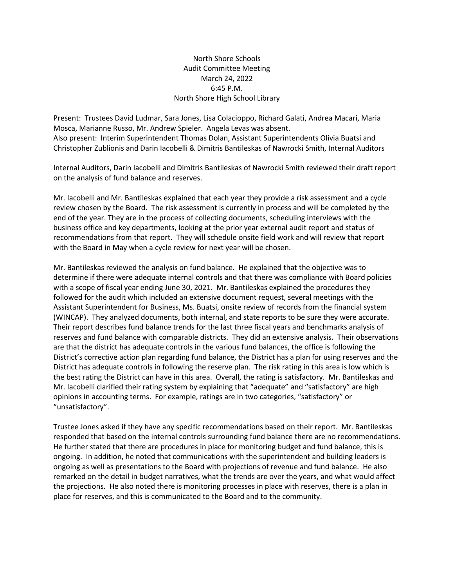## North Shore Schools Audit Committee Meeting March 24, 2022 6:45 P.M. North Shore High School Library

Present: Trustees David Ludmar, Sara Jones, Lisa Colacioppo, Richard Galati, Andrea Macari, Maria Mosca, Marianne Russo, Mr. Andrew Spieler. Angela Levas was absent. Also present: Interim Superintendent Thomas Dolan, Assistant Superintendents Olivia Buatsi and Christopher Zublionis and Darin Iacobelli & Dimitris Bantileskas of Nawrocki Smith, Internal Auditors

Internal Auditors, Darin Iacobelli and Dimitris Bantileskas of Nawrocki Smith reviewed their draft report on the analysis of fund balance and reserves.

Mr. Iacobelli and Mr. Bantileskas explained that each year they provide a risk assessment and a cycle review chosen by the Board. The risk assessment is currently in process and will be completed by the end of the year. They are in the process of collecting documents, scheduling interviews with the business office and key departments, looking at the prior year external audit report and status of recommendations from that report. They will schedule onsite field work and will review that report with the Board in May when a cycle review for next year will be chosen.

Mr. Bantileskas reviewed the analysis on fund balance. He explained that the objective was to determine if there were adequate internal controls and that there was compliance with Board policies with a scope of fiscal year ending June 30, 2021. Mr. Bantileskas explained the procedures they followed for the audit which included an extensive document request, several meetings with the Assistant Superintendent for Business, Ms. Buatsi, onsite review of records from the financial system (WINCAP). They analyzed documents, both internal, and state reports to be sure they were accurate. Their report describes fund balance trends for the last three fiscal years and benchmarks analysis of reserves and fund balance with comparable districts. They did an extensive analysis. Their observations are that the district has adequate controls in the various fund balances, the office is following the District's corrective action plan regarding fund balance, the District has a plan for using reserves and the District has adequate controls in following the reserve plan. The risk rating in this area is low which is the best rating the District can have in this area. Overall, the rating is satisfactory. Mr. Bantileskas and Mr. Iacobelli clarified their rating system by explaining that "adequate" and "satisfactory" are high opinions in accounting terms. For example, ratings are in two categories, "satisfactory" or "unsatisfactory".

Trustee Jones asked if they have any specific recommendations based on their report. Mr. Bantileskas responded that based on the internal controls surrounding fund balance there are no recommendations. He further stated that there are procedures in place for monitoring budget and fund balance, this is ongoing. In addition, he noted that communications with the superintendent and building leaders is ongoing as well as presentations to the Board with projections of revenue and fund balance. He also remarked on the detail in budget narratives, what the trends are over the years, and what would affect the projections. He also noted there is monitoring processes in place with reserves, there is a plan in place for reserves, and this is communicated to the Board and to the community.